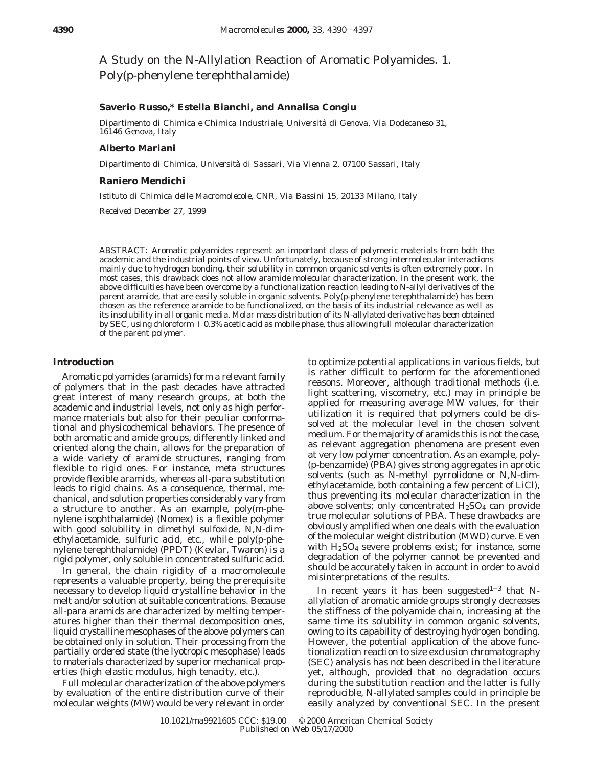A Study on the N-Allylation Reaction of Aromatic Polyamides. 1. Poly(*p*-phenylene terephthalamide)

# **Saverio Russo,\* Estella Bianchi, and Annalisa Congiu**

*Dipartimento di Chimica e Chimica Industriale, Universita*` *di Genova, Via Dodecaneso 31, 16146 Genova, Italy*

#### **Alberto Mariani**

*Dipartimento di Chimica, Universita*` *di Sassari, Via Vienna 2, 07100 Sassari, Italy*

## **Raniero Mendichi**

*Istituto di Chimica delle Macromolecole, CNR, Via Bassini 15, 20133 Milano, Italy Received December 27, 1999*

ABSTRACT: Aromatic polyamides represent an important class of polymeric materials from both the academic and the industrial points of view. Unfortunately, because of strong intermolecular interactions mainly due to hydrogen bonding, their solubility in common organic solvents is often extremely poor. In most cases, this drawback does not allow aramide molecular characterization. In the present work, the above difficulties have been overcome by a functionalization reaction leading to *N*-allyl derivatives of the parent aramide, that are easily soluble in organic solvents. Poly(*p*-phenylene terephthalamide) has been chosen as the reference aramide to be functionalized, on the basis of its industrial relevance as well as its insolubility in all organic media. Molar mass distribution of its N-allylated derivative has been obtained by SEC, using chloroform  $+0.3%$  acetic acid as mobile phase, thus allowing full molecular characterization of the parent polymer.

#### **Introduction**

Aromatic polyamides (aramids) form a relevant family of polymers that in the past decades have attracted great interest of many research groups, at both the academic and industrial levels, not only as high performance materials but also for their peculiar conformational and physicochemical behaviors. The presence of both aromatic and amide groups, differently linked and oriented along the chain, allows for the preparation of a wide variety of aramide structures, ranging from flexible to rigid ones. For instance, *meta* structures provide flexible aramids, whereas all-*para* substitution leads to rigid chains. As a consequence, thermal, mechanical, and solution properties considerably vary from a structure to another. As an example, poly(*m*-phenylene isophthalamide) (Nomex) is a flexible polymer with good solubility in dimethyl sulfoxide, *N*,*N*-dimethylacetamide, sulfuric acid, etc., while poly(*p*-phenylene terephthalamide) (PPDT) (Kevlar, Twaron) is a rigid polymer, only soluble in concentrated sulfuric acid.

In general, the chain rigidity of a macromolecule represents a valuable property, being the prerequisite necessary to develop liquid crystalline behavior in the melt and/or solution at suitable concentrations. Because all-*para* aramids are characterized by melting temperatures higher than their thermal decomposition ones, liquid crystalline mesophases of the above polymers can be obtained only in solution. Their processing from the partially ordered state (the lyotropic mesophase) leads to materials characterized by superior mechanical properties (high elastic modulus, high tenacity, etc.).

Full molecular characterization of the above polymers by evaluation of the entire distribution curve of their molecular weights (MW) would be very relevant in order

to optimize potential applications in various fields, but is rather difficult to perform for the aforementioned reasons. Moreover, although traditional methods (i.e. light scattering, viscometry, etc.) may in principle be applied for measuring average MW values, for their utilization it is required that polymers could be dissolved at the molecular level in the chosen solvent medium. For the majority of aramids this is not the case, as relevant aggregation phenomena are present even at very low polymer concentration. As an example, poly- (*p*-benzamide) (PBA) gives strong aggregates in aprotic solvents (such as *N*-methyl pyrrolidone or *N*,*N*-dimethylacetamide, both containing a few percent of LiCl), thus preventing its molecular characterization in the above solvents; only concentrated  $H<sub>2</sub>SO<sub>4</sub>$  can provide true molecular solutions of PBA. These drawbacks are obviously amplified when one deals with the evaluation of the molecular weight distribution (MWD) curve. Even with  $H_2SO_4$  severe problems exist; for instance, some degradation of the polymer cannot be prevented and should be accurately taken in account in order to avoid misinterpretations of the results.

In recent years it has been suggested<sup>1-3</sup> that Nallylation of aromatic amide groups strongly decreases the stiffness of the polyamide chain, increasing at the same time its solubility in common organic solvents, owing to its capability of destroying hydrogen bonding. However, the potential application of the above functionalization reaction to size exclusion chromatography (SEC) analysis has not been described in the literature yet, although, provided that no degradation occurs during the substitution reaction and the latter is fully reproducible, N-allylated samples could in principle be easily analyzed by conventional SEC. In the present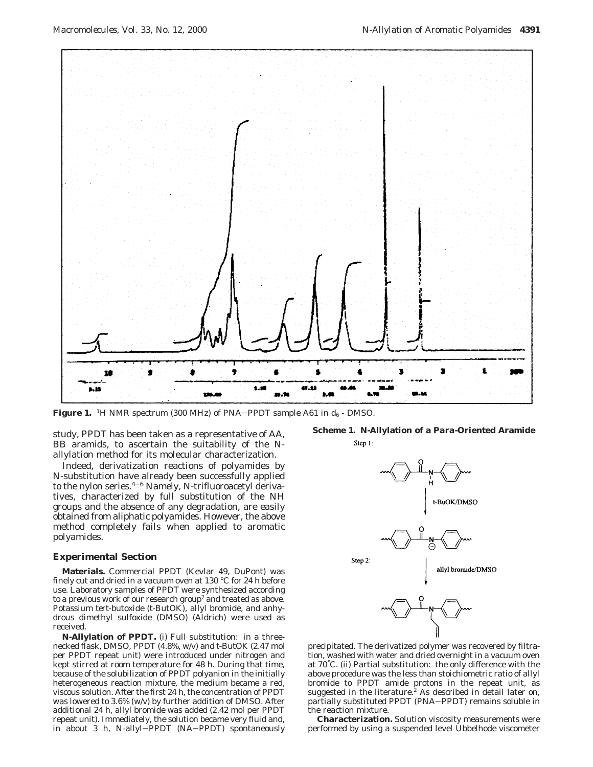

**Figure 1.** <sup>1</sup>H NMR spectrum (300 MHz) of PNA-PPDT sample A61 in  $d_6$  - DMSO.

study, PPDT has been taken as a representative of AA, BB aramids, to ascertain the suitability of the Nallylation method for its molecular characterization.

Indeed, derivatization reactions of polyamides by N-substitution have already been successfully applied to the nylon series.4-<sup>6</sup> Namely, *N*-trifluoroacetyl derivatives, characterized by full substitution of the NH groups and the absence of any degradation, are easily obtained from aliphatic polyamides. However, the above method completely fails when applied to aromatic polyamides.

#### **Experimental Section**

**Materials.** Commercial PPDT (Kevlar 49, DuPont) was finely cut and dried in a vacuum oven at 130 °C for 24 h before use. Laboratory samples of PPDT were synthesized according to a previous work of our research group<sup>7</sup> and treated as above. Potassium *tert*-butoxide (*t*-ButOK), allyl bromide, and anhydrous dimethyl sulfoxide (DMSO) (Aldrich) were used as received.

**N-Allylation of PPDT.** (i) Full substitution: in a threenecked flask, DMSO, PPDT (4.8%, w/v) and *t*-ButOK (2.47 mol per PPDT repeat unit) were introduced under nitrogen and kept stirred at room temperature for 48 h. During that time, because of the solubilization of PPDT polyanion in the initially heterogeneous reaction mixture, the medium became a red, viscous solution. After the first 24 h, the concentration of PPDT was lowered to 3.6% (w/v) by further addition of DMSO. After additional 24 h, allyl bromide was added (2.42 mol per PPDT repeat unit). Immediately, the solution became very fluid and, in about 3 h, *<sup>N</sup>*-allyl-PPDT (NA-PPDT) spontaneously

**Scheme 1. N-Allylation of a** *Para***-Oriented Aramide**



precipitated. The derivatized polymer was recovered by filtration, washed with water and dried overnight in a vacuum oven at 70˚C. (ii) Partial substitution: the only difference with the above procedure was the less than stoichiometric ratio of allyl bromide to PPDT amide protons in the repeat unit, as suggested in the literature.<sup>2</sup> As described in detail later on, partially substituted PPDT (PNA-PPDT) remains soluble in the reaction mixture.

**Characterization.** Solution viscosity measurements were performed by using a suspended level Ubbelhode viscometer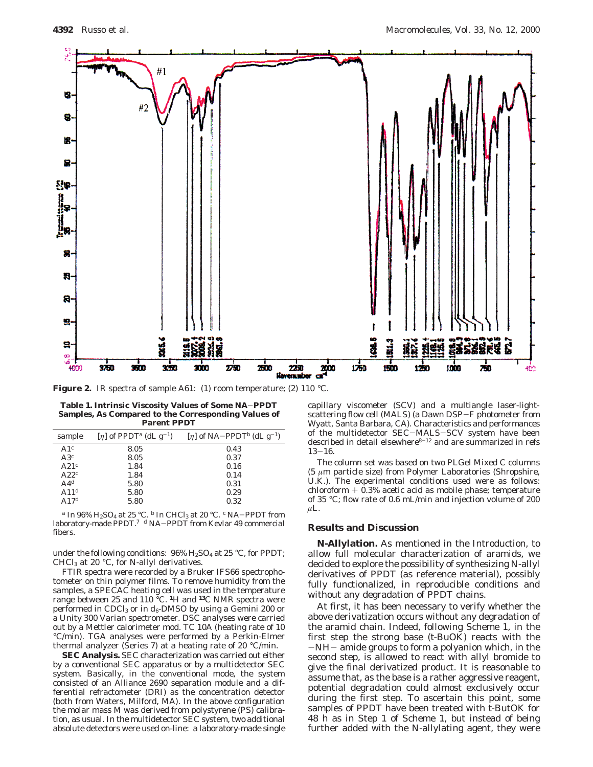

**Figure 2.** IR spectra of sample A61: (1) room temperature; (2) 110 °C.

**Table 1. Intrinsic Viscosity Values of Some NA**-**PPDT Samples, As Compared to the Corresponding Values of Parent PPDT**

| sample           | $[\eta]$ of PPDT <sup>a</sup> (dL g <sup>-1</sup> ) | $[\eta]$ of NA-PPDT <sup>b</sup> (dL g <sup>-1</sup> ) |
|------------------|-----------------------------------------------------|--------------------------------------------------------|
| A1 $\epsilon$    | 8.05                                                | 0.43                                                   |
| A3c              | 8.05                                                | 0.37                                                   |
| A21 $c$          | 1.84                                                | 0.16                                                   |
| A22 <sup>c</sup> | 1.84                                                | 0.14                                                   |
| $A4^d$           | 5.80                                                | 0.31                                                   |
| A11 $d$          | 5.80                                                | 0.29                                                   |
| A17 <sup>d</sup> | 5.80                                                | 0.32                                                   |

*<sup>a</sup>* In 96% H2SO4 at 25 °C. *<sup>b</sup>* In CHCl3 at 20 °C. *<sup>c</sup>* NA-PPDT from laboratory-made PPDT.7 *<sup>d</sup>* NA-PPDT from Kevlar 49 commercial fibers.

under the following conditions:  $96\%$  H<sub>2</sub>SO<sub>4</sub> at 25 °C, for PPDT; CHCl3 at 20 °C, for *N*-allyl derivatives.

FTIR spectra were recorded by a Bruker IFS66 spectrophotometer on thin polymer films. To remove humidity from the samples, a SPECAC heating cell was used in the temperature range between 25 and 110 °C. **<sup>1</sup>**H and **<sup>13</sup>**C NMR spectra were performed in CDCl<sub>3</sub> or in  $d_6$ -DMSO by using a Gemini 200 or a Unity 300 Varian spectrometer. DSC analyses were carried out by a Mettler calorimeter mod. TC 10A (heating rate of 10 °C/min). TGA analyses were performed by a Perkin-Elmer thermal analyzer (Series 7) at a heating rate of 20 °C/min.

**SEC Analysis.** SEC characterization was carried out either by a conventional SEC apparatus or by a multidetector SEC system. Basically, in the conventional mode, the system consisted of an Alliance 2690 separation module and a differential refractometer (DRI) as the concentration detector (both from Waters, Milford, MA). In the above configuration the molar mass *M* was derived from polystyrene (PS) calibration, as usual. In the multidetector SEC system, two additional absolute detectors were used on-line: a laboratory-made single

capillary viscometer (SCV) and a multiangle laser-lightscattering flow cell (MALS) (a Dawn DSP-F photometer from Wyatt, Santa Barbara, CA). Characteristics and performances of the multidetector SEC-MALS-SCV system have been described in detail elsewhere $8-12$  and are summarized in refs  $13 - 16.$ 

The column set was based on two PLGel Mixed C columns (5 *µ*m particle size) from Polymer Laboratories (Shropshire, U.K.). The experimental conditions used were as follows: chloroform + 0.3% acetic acid as mobile phase; temperature of 35 °C; flow rate of 0.6 mL/min and injection volume of 200 *µ*L.

### **Results and Discussion**

**N-Allylation.** As mentioned in the Introduction, to allow full molecular characterization of aramids, we decided to explore the possibility of synthesizing *N*-allyl derivatives of PPDT (as reference material), possibly fully functionalized, in reproducible conditions and without any degradation of PPDT chains.

At first, it has been necessary to verify whether the above derivatization occurs without any degradation of the aramid chain. Indeed, following Scheme 1, in the first step the strong base (*t*-BuOK) reacts with the -NH- amide groups to form a polyanion which, in the second step, is allowed to react with allyl bromide to give the final derivatized product. It is reasonable to assume that, as the base is a rather aggressive reagent, potential degradation could almost exclusively occur during the first step. To ascertain this point, some samples of PPDT have been treated with *t*-ButOK for 48 h as in Step 1 of Scheme 1, but instead of being further added with the N-allylating agent, they were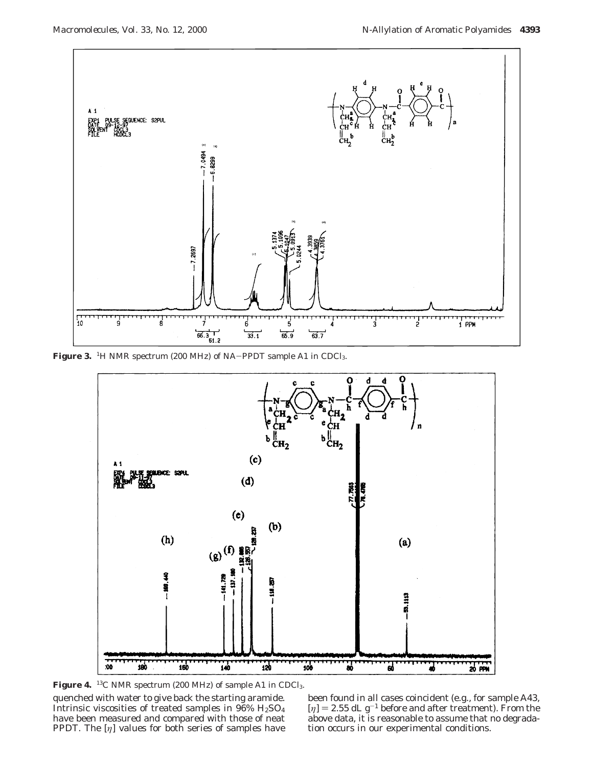

Figure 3. <sup>1</sup>H NMR spectrum (200 MHz) of NA-PPDT sample A1 in CDCl<sub>3</sub>.



quenched with water to give back the starting aramide. Intrinsic viscosities of treated samples in 96% H2SO4 have been measured and compared with those of neat PPDT. The [*η*] values for both series of samples have Figure 4. <sup>13</sup>C NMR spectrum (200 MHz) of sample A1 in CDCl<sub>3</sub>.

been found in all cases coincident (e.g., for sample A43,  $[\eta] = 2.55$  dL g<sup>-1</sup> before and after treatment). From the above data, it is reasonable to assume that no degradation occurs in our experimental conditions.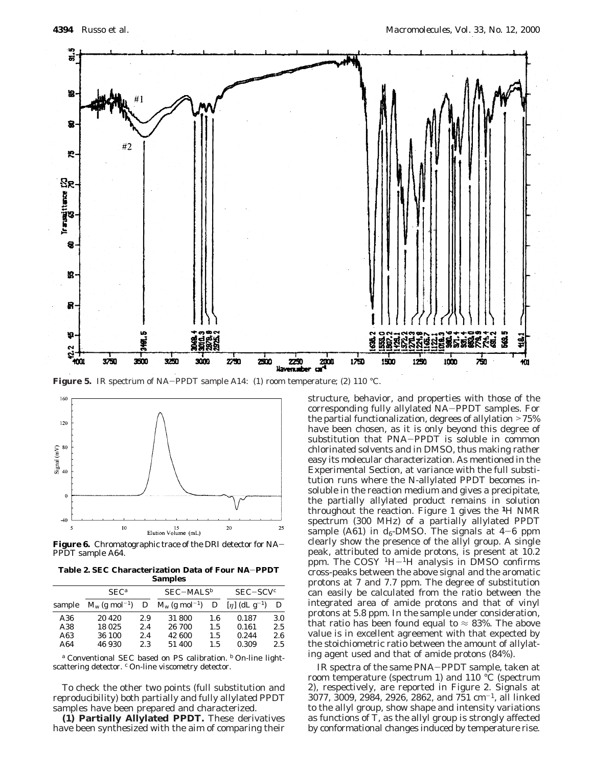

Figure 5. IR spectrum of NA-PPDT sample A14: (1) room temperature; (2) 110 °C.



**Figure 6.** Chromatographic trace of the DRI detector for NA-PPDT sample A64.

**Table 2. SEC Characterization Data of Four NA**-**PPDT Samples**

|                   | $SEC^a$                            |                   | $SEC-MALS^b$                            |                   | $SEC-SCVc$                  |                   |
|-------------------|------------------------------------|-------------------|-----------------------------------------|-------------------|-----------------------------|-------------------|
| sample            | $M_{\rm w}$ (g mol <sup>-1</sup> ) |                   | $D \, M_{\rm w} \, (\text{g mol}^{-1})$ | D                 | $[n]$ (dL g <sup>-1</sup> ) | D                 |
| A36<br>A38<br>A63 | 20 4 20<br>18 025<br>36 100        | 2.9<br>2.4<br>2.4 | 31 800<br>26 700<br>42 600              | 1.6<br>1.5<br>1.5 | 0.187<br>0.161<br>0.244     | 3.0<br>2.5<br>2.6 |
| A64               | 46 930                             | 2.3               | 51 400                                  | 1.5               | 0.309                       | 2.5               |

*<sup>a</sup>* Conventional SEC based on PS calibration. *<sup>b</sup>* On-line lightscattering detector. *<sup>c</sup>* On-line viscometry detector.

To check the other two points (full substitution and reproducibility) both partially and fully allylated PPDT samples have been prepared and characterized.

**(1) Partially Allylated PPDT.** These derivatives have been synthesized with the aim of comparing their

structure, behavior, and properties with those of the corresponding fully allylated NA-PPDT samples. For the partial functionalization, degrees of allylation >75% have been chosen, as it is only beyond this degree of substitution that PNA-PPDT is soluble in common chlorinated solvents and in DMSO, thus making rather easy its molecular characterization. As mentioned in the Experimental Section, at variance with the full substitution runs where the N-allylated PPDT becomes insoluble in the reaction medium and gives a precipitate, the partially allylated product remains in solution throughout the reaction. Figure 1 gives the **<sup>1</sup>**H NMR spectrum (300 MHz) of a partially allylated PPDT sample (A61) in  $d_6$ -DMSO. The signals at  $4-6$  ppm clearly show the presence of the allyl group. A single peak, attributed to amide protons, is present at 10.2 ppm. The  $COSY$ <sup>1</sup>H $-$ <sup>1</sup>H analysis in DMSO confirms cross-peaks between the above signal and the aromatic protons at 7 and 7.7 ppm. The degree of substitution can easily be calculated from the ratio between the integrated area of amide protons and that of vinyl protons at 5.8 ppm. In the sample under consideration, that ratio has been found equal to  $\approx$  83%. The above value is in excellent agreement with that expected by the stoichiometric ratio between the amount of allylating agent used and that of amide protons (84%).

IR spectra of the same PNA-PPDT sample, taken at room temperature (spectrum 1) and 110 °C (spectrum 2), respectively, are reported in Figure 2. Signals at 3077, 3009, 2984, 2926, 2862, and 751 cm-1, all linked to the allyl group, show shape and intensity variations as functions of *T*, as the allyl group is strongly affected by conformational changes induced by temperature rise.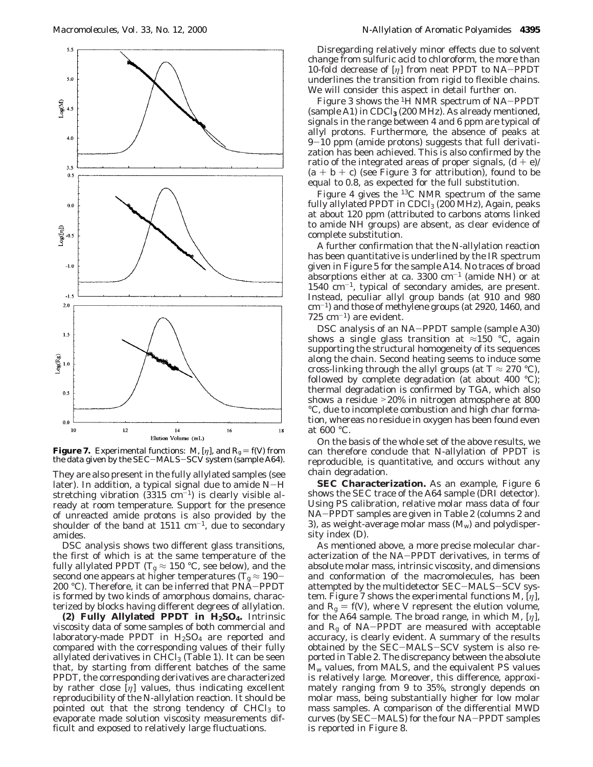

**Figure 7.** Experimental functions: *M*, [ $\eta$ ], and  $R_g = f(V)$  from the data given by the SEC-MALS-SCV system (sample A64).

They are also present in the fully allylated samples (see later). In addition, a typical signal due to amide  $N-H$ stretching vibration  $(3315 \text{ cm}^{-1})$  is clearly visible already at room temperature. Support for the presence of unreacted amide protons is also provided by the shoulder of the band at  $1511 \text{ cm}^{-1}$ , due to secondary amides.

DSC analysis shows two different glass transitions, the first of which is at the same temperature of the fully allylated PPDT ( $T_g \approx 150$  °C, see below), and the second one appears at higher temperatures ( $T_{\rm g} \approx 190-200$  °C). Therefore, it can be inferred that PNA–PPDT 200 °C). Therefore, it can be inferred that PNA-PPDT is formed by two kinds of amorphous domains, characterized by blocks having different degrees of allylation.

**(2) Fully Allylated PPDT in H2SO4.** Intrinsic viscosity data of some samples of both commercial and laboratory-made PPDT in  $H<sub>2</sub>SO<sub>4</sub>$  are reported and compared with the corresponding values of their fully allylated derivatives in  $CHCl<sub>3</sub>$  (Table 1). It can be seen that, by starting from different batches of the same PPDT, the corresponding derivatives are characterized by rather close [*η*] values, thus indicating excellent reproducibility of the N-allylation reaction. It should be pointed out that the strong tendency of  $CHCl<sub>3</sub>$  to evaporate made solution viscosity measurements difficult and exposed to relatively large fluctuations.

Disregarding relatively minor effects due to solvent change from sulfuric acid to chloroform, the more than 10-fold decrease of [*η*] from neat PPDT to NA-PPDT underlines the transition from rigid to flexible chains. We will consider this aspect in detail further on.

Figure 3 shows the 1H NMR spectrum of NA-PPDT (sample A1) in CDCl**<sup>3</sup>** (200 MHz). As already mentioned, signals in the range between 4 and 6 ppm are typical of allyl protons. Furthermore, the absence of peaks at  $9-10$  ppm (amide protons) suggests that full derivatization has been achieved. This is also confirmed by the ratio of the integrated areas of proper signals,  $(d + e)$ /  $(a + b + c)$  (see Figure 3 for attribution), found to be equal to 0.8, as expected for the full substitution.

Figure 4 gives the 13C NMR spectrum of the same fully allylated PPDT in CDCl<sub>3</sub> (200 MHz), Again, peaks at about 120 ppm (attributed to carbons atoms linked to amide NH groups) are absent, as clear evidence of complete substitution.

A further confirmation that the N-allylation reaction has been quantitative is underlined by the IR spectrum given in Figure 5 for the sample A14. No traces of broad absorptions either at ca.  $3300 \text{ cm}^{-1}$  (amide NH) or at 1540 cm-1, typical of secondary amides, are present. Instead, peculiar allyl group bands (at 910 and 980 cm-1) and those of methylene groups (at 2920, 1460, and  $725 \text{ cm}^{-1}$ ) are evident.

DSC analysis of an NA-PPDT sample (sample A30) shows a single glass transition at  $\approx$ 150 °C, again supporting the structural homogeneity of its sequences along the chain. Second heating seems to induce some cross-linking through the allyl groups (at  $T \approx 270$  °C), followed by complete degradation (at about 400 °C); thermal degradation is confirmed by TGA, which also shows a residue >20% in nitrogen atmosphere at 800 °C, due to incomplete combustion and high char formation, whereas no residue in oxygen has been found even at 600 °C.

On the basis of the whole set of the above results, we can therefore conclude that N-allylation of PPDT is reproducible, is quantitative, and occurs without any chain degradation.

**SEC Characterization.** As an example, Figure 6 shows the SEC trace of the A64 sample (DRI detector). Using PS calibration, relative molar mass data of four NA-PPDT samples are given in Table 2 (columns 2 and 3), as weight-average molar mass  $(M_w)$  and polydispersity index (*D*).

As mentioned above, a more precise molecular characterization of the NA-PPDT derivatives, in terms of absolute molar mass, intrinsic viscosity, and dimensions and conformation of the macromolecules, has been attempted by the multidetector SEC-MALS-SCV system. Figure 7 shows the experimental functions *M*, [*η*], and  $R_g = f(V)$ , where *V* represent the elution volume, for the A64 sample. The broad range, in which *M*, [*η*], and  $R<sub>g</sub>$  of NA-PPDT are measured with acceptable accuracy, is clearly evident. A summary of the results obtained by the SEC-MALS-SCV system is also reported in Table 2. The discrepancy between the absolute *M*<sup>w</sup> values, from MALS, and the equivalent PS values is relatively large. Moreover, this difference, approximately ranging from 9 to 35%, strongly depends on molar mass, being substantially higher for low molar mass samples. A comparison of the differential MWD curves (by SEC-MALS) for the four NA-PPDT samples is reported in Figure 8.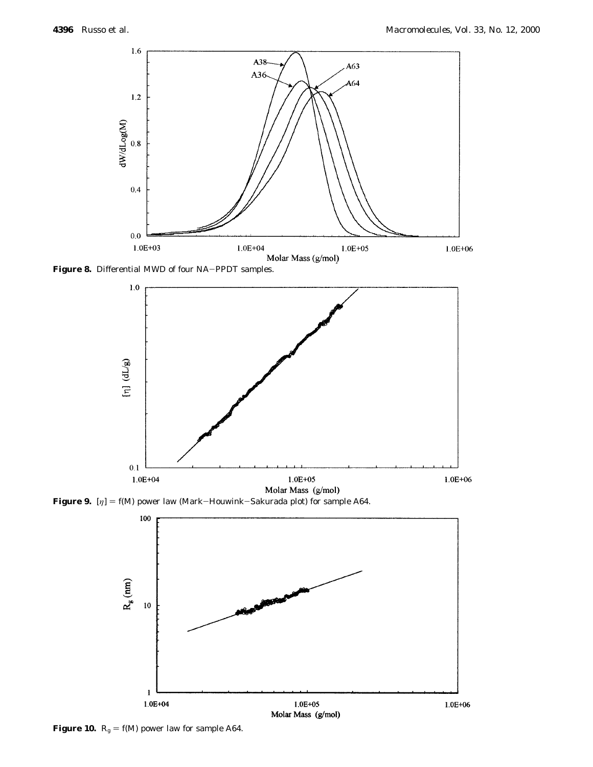

**Figure 8.** Differential MWD of four NA-PPDT samples.





**Figure 10.**  $R_g = f(M)$  power law for sample A64.